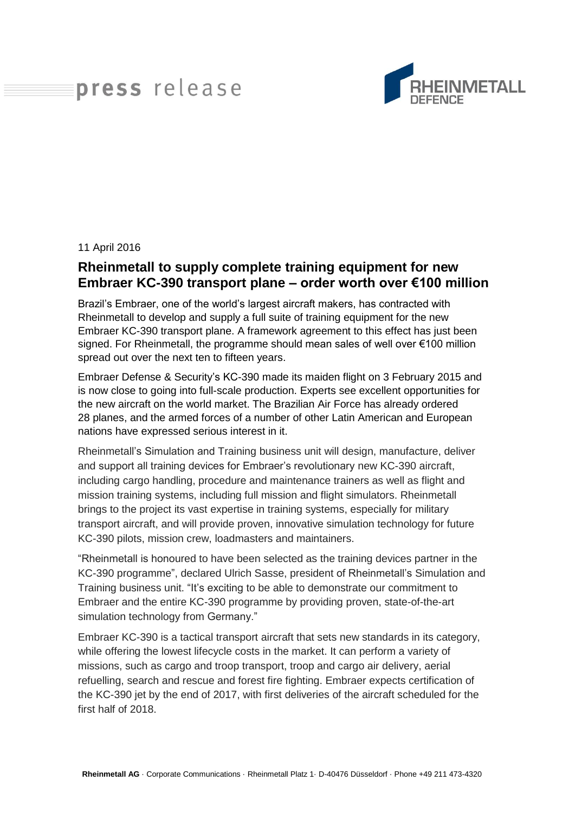## press release



## 11 April 2016

## **Rheinmetall to supply complete training equipment for new Embraer KC-390 transport plane – order worth over €100 million**

Brazil's Embraer, one of the world's largest aircraft makers, has contracted with Rheinmetall to develop and supply a full suite of training equipment for the new Embraer KC-390 transport plane. A framework agreement to this effect has just been signed. For Rheinmetall, the programme should mean sales of well over €100 million spread out over the next ten to fifteen years.

Embraer Defense & Security's KC-390 made its maiden flight on 3 February 2015 and is now close to going into full-scale production. Experts see excellent opportunities for the new aircraft on the world market. The Brazilian Air Force has already ordered 28 planes, and the armed forces of a number of other Latin American and European nations have expressed serious interest in it.

Rheinmetall's Simulation and Training business unit will design, manufacture, deliver and support all training devices for Embraer's revolutionary new KC-390 aircraft, including cargo handling, procedure and maintenance trainers as well as flight and mission training systems, including full mission and flight simulators. Rheinmetall brings to the project its vast expertise in training systems, especially for military transport aircraft, and will provide proven, innovative simulation technology for future KC-390 pilots, mission crew, loadmasters and maintainers.

"Rheinmetall is honoured to have been selected as the training devices partner in the KC-390 programme", declared Ulrich Sasse, president of Rheinmetall's Simulation and Training business unit. "It's exciting to be able to demonstrate our commitment to Embraer and the entire KC-390 programme by providing proven, state-of-the-art simulation technology from Germany."

Embraer KC-390 is a tactical transport aircraft that sets new standards in its category, while offering the lowest lifecycle costs in the market. It can perform a variety of missions, such as cargo and troop transport, troop and cargo air delivery, aerial refuelling, search and rescue and forest fire fighting. Embraer expects certification of the KC-390 jet by the end of 2017, with first deliveries of the aircraft scheduled for the first half of 2018.